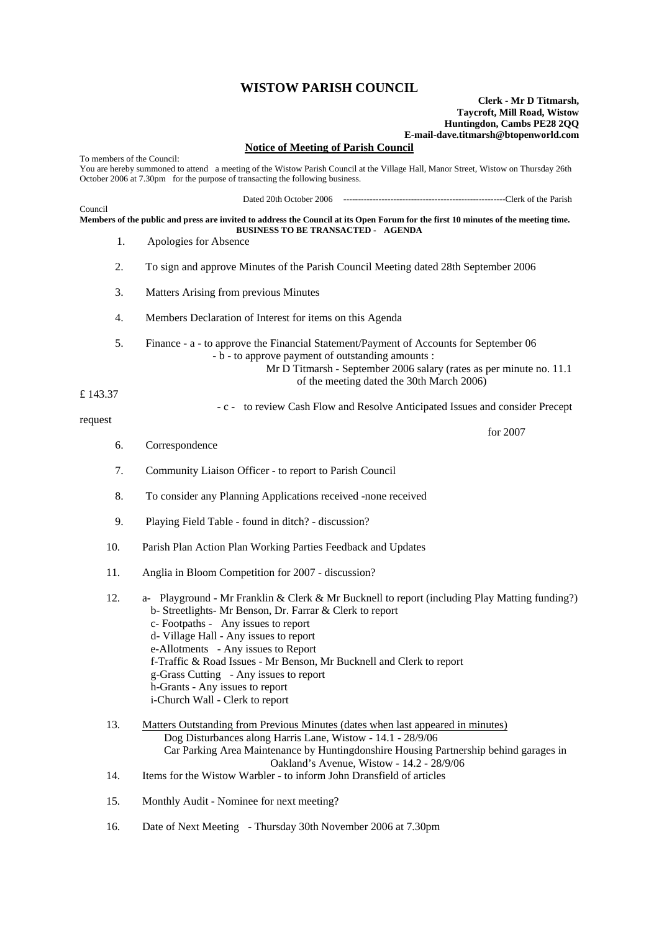## **WISTOW PARISH COUNCIL**

## **Clerk - Mr D Titmarsh, Taycroft, Mill Road, Wistow Huntingdon, Cambs PE28 2QQ E-mail-dave.titmarsh@btopenworld.com**

## **Notice of Meeting of Parish Council**

To members of the Council: You are hereby summoned to attend a meeting of the Wistow Parish Council at the Village Hall, Manor Street, Wistow on Thursday 26th October 2006 at 7.30pm for the purpose of transacting the following business. Dated 20th October 2006 -------------------------------------------------------Clerk of the Parish Council **Members of the public and press are invited to address the Council at its Open Forum for the first 10 minutes of the meeting time. BUSINESS TO BE TRANSACTED - AGENDA**  1. Apologies for Absence 2. To sign and approve Minutes of the Parish Council Meeting dated 28th September 2006 3. Matters Arising from previous Minutes 4. Members Declaration of Interest for items on this Agenda 5. Finance - a - to approve the Financial Statement/Payment of Accounts for September 06 - b - to approve payment of outstanding amounts : Mr D Titmarsh - September 2006 salary (rates as per minute no. 11.1 of the meeting dated the 30th March 2006) £ 143.37 - c - to review Cash Flow and Resolve Anticipated Issues and consider Precept request for 2007 6. Correspondence 7. Community Liaison Officer - to report to Parish Council 8. To consider any Planning Applications received -none received 9. Playing Field Table - found in ditch? - discussion? 10. Parish Plan Action Plan Working Parties Feedback and Updates 11. Anglia in Bloom Competition for 2007 - discussion? 12. a- Playground - Mr Franklin & Clerk & Mr Bucknell to report (including Play Matting funding?) b- Streetlights- Mr Benson, Dr. Farrar & Clerk to report c- Footpaths - Any issues to report d- Village Hall - Any issues to report e-Allotments - Any issues to Report f-Traffic & Road Issues - Mr Benson, Mr Bucknell and Clerk to report g-Grass Cutting - Any issues to report h-Grants - Any issues to report i-Church Wall - Clerk to report 13. Matters Outstanding from Previous Minutes (dates when last appeared in minutes) Dog Disturbances along Harris Lane, Wistow - 14.1 - 28/9/06 Car Parking Area Maintenance by Huntingdonshire Housing Partnership behind garages in Oakland's Avenue, Wistow - 14.2 - 28/9/06 14. Items for the Wistow Warbler - to inform John Dransfield of articles 15. Monthly Audit - Nominee for next meeting?

16. Date of Next Meeting - Thursday 30th November 2006 at 7.30pm